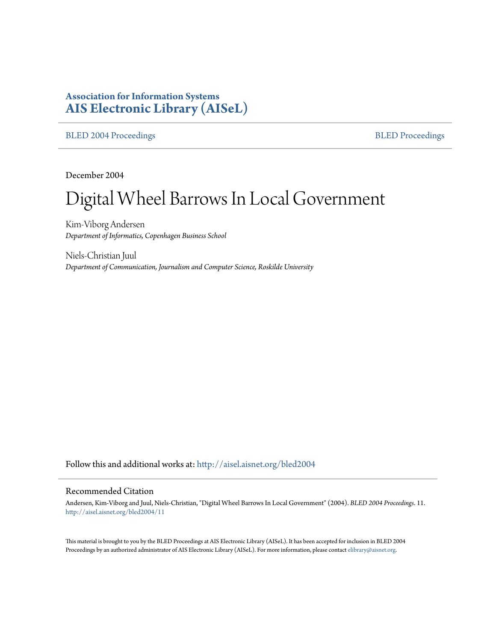# **Association for Information Systems [AIS Electronic Library \(AISeL\)](http://aisel.aisnet.org?utm_source=aisel.aisnet.org%2Fbled2004%2F11&utm_medium=PDF&utm_campaign=PDFCoverPages)**

[BLED 2004 Proceedings](http://aisel.aisnet.org/bled2004?utm_source=aisel.aisnet.org%2Fbled2004%2F11&utm_medium=PDF&utm_campaign=PDFCoverPages) **[BLED Proceedings](http://aisel.aisnet.org/bled?utm_source=aisel.aisnet.org%2Fbled2004%2F11&utm_medium=PDF&utm_campaign=PDFCoverPages)** 

December 2004

# Digital Wheel Barrows In Local Government

Kim-Viborg Andersen *Department of Informatics, Copenhagen Business School*

Niels-Christian Juul *Department of Communication, Journalism and Computer Science, Roskilde University*

Follow this and additional works at: [http://aisel.aisnet.org/bled2004](http://aisel.aisnet.org/bled2004?utm_source=aisel.aisnet.org%2Fbled2004%2F11&utm_medium=PDF&utm_campaign=PDFCoverPages)

#### Recommended Citation

Andersen, Kim-Viborg and Juul, Niels-Christian, "Digital Wheel Barrows In Local Government" (2004). *BLED 2004 Proceedings*. 11. [http://aisel.aisnet.org/bled2004/11](http://aisel.aisnet.org/bled2004/11?utm_source=aisel.aisnet.org%2Fbled2004%2F11&utm_medium=PDF&utm_campaign=PDFCoverPages)

This material is brought to you by the BLED Proceedings at AIS Electronic Library (AISeL). It has been accepted for inclusion in BLED 2004 Proceedings by an authorized administrator of AIS Electronic Library (AISeL). For more information, please contact [elibrary@aisnet.org](mailto:elibrary@aisnet.org%3E).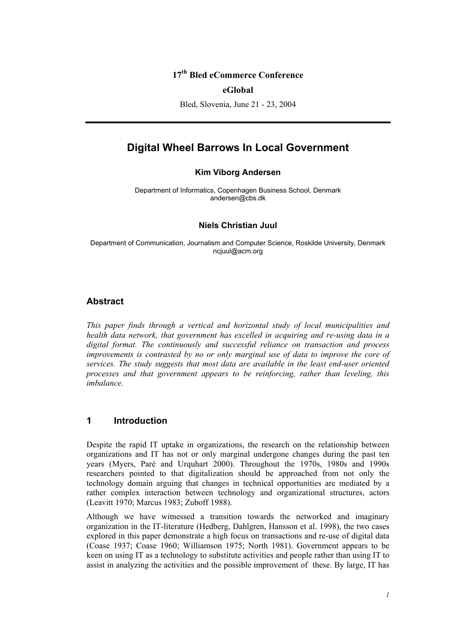## **17th Bled eCommerce Conference**

#### **eGlobal**

Bled, Slovenia, June 21 - 23, 2004

# **Digital Wheel Barrows In Local Government**

#### **Kim Viborg Andersen**

Department of Informatics, Copenhagen Business School, Denmark andersen@cbs.dk

#### **Niels Christian Juul**

Department of Communication, Journalism and Computer Science, Roskilde University, Denmark ncjuul@acm.org

#### **Abstract**

*This paper finds through a vertical and horizontal study of local municipalities and health data network, that government has excelled in acquiring and re-using data in a digital format. The continuously and successful reliance on transaction and process improvements is contrasted by no or only marginal use of data to improve the core of services. The study suggests that most data are available in the least end-user oriented processes and that government appears to be reinforcing, rather than leveling, this imbalance.* 

### **1 Introduction**

Despite the rapid IT uptake in organizations, the research on the relationship between organizations and IT has not or only marginal undergone changes during the past ten years (Myers, Paré and Urquhart 2000). Throughout the 1970s, 1980s and 1990s researchers pointed to that digitalization should be approached from not only the technology domain arguing that changes in technical opportunities are mediated by a rather complex interaction between technology and organizational structures, actors (Leavitt 1970; Marcus 1983; Zuboff 1988).

Although we have witnessed a transition towards the networked and imaginary organization in the IT-literature (Hedberg, Dahlgren, Hansson et al. 1998), the two cases explored in this paper demonstrate a high focus on transactions and re-use of digital data (Coase 1937; Coase 1960; Williamson 1975; North 1981). Government appears to be keen on using IT as a technology to substitute activities and people rather than using IT to assist in analyzing the activities and the possible improvement of these. By large, IT has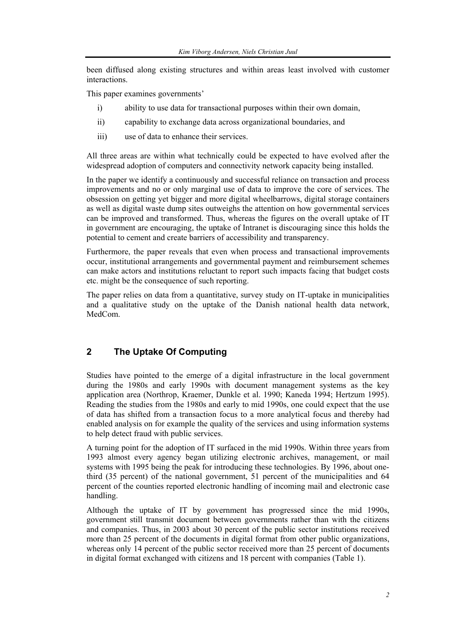been diffused along existing structures and within areas least involved with customer interactions.

This paper examines governments'

- i) ability to use data for transactional purposes within their own domain,
- ii) capability to exchange data across organizational boundaries, and
- iii) use of data to enhance their services.

All three areas are within what technically could be expected to have evolved after the widespread adoption of computers and connectivity network capacity being installed.

In the paper we identify a continuously and successful reliance on transaction and process improvements and no or only marginal use of data to improve the core of services. The obsession on getting yet bigger and more digital wheelbarrows, digital storage containers as well as digital waste dump sites outweighs the attention on how governmental services can be improved and transformed. Thus, whereas the figures on the overall uptake of IT in government are encouraging, the uptake of Intranet is discouraging since this holds the potential to cement and create barriers of accessibility and transparency.

Furthermore, the paper reveals that even when process and transactional improvements occur, institutional arrangements and governmental payment and reimbursement schemes can make actors and institutions reluctant to report such impacts facing that budget costs etc. might be the consequence of such reporting.

The paper relies on data from a quantitative, survey study on IT-uptake in municipalities and a qualitative study on the uptake of the Danish national health data network, MedCom.

# **2 The Uptake Of Computing**

Studies have pointed to the emerge of a digital infrastructure in the local government during the 1980s and early 1990s with document management systems as the key application area (Northrop, Kraemer, Dunkle et al. 1990; Kaneda 1994; Hertzum 1995). Reading the studies from the 1980s and early to mid 1990s, one could expect that the use of data has shifted from a transaction focus to a more analytical focus and thereby had enabled analysis on for example the quality of the services and using information systems to help detect fraud with public services.

A turning point for the adoption of IT surfaced in the mid 1990s. Within three years from 1993 almost every agency began utilizing electronic archives, management, or mail systems with 1995 being the peak for introducing these technologies. By 1996, about onethird (35 percent) of the national government, 51 percent of the municipalities and 64 percent of the counties reported electronic handling of incoming mail and electronic case handling.

Although the uptake of IT by government has progressed since the mid 1990s, government still transmit document between governments rather than with the citizens and companies. Thus, in 2003 about 30 percent of the public sector institutions received more than 25 percent of the documents in digital format from other public organizations, whereas only 14 percent of the public sector received more than 25 percent of documents in digital format exchanged with citizens and 18 percent with companies (Table 1).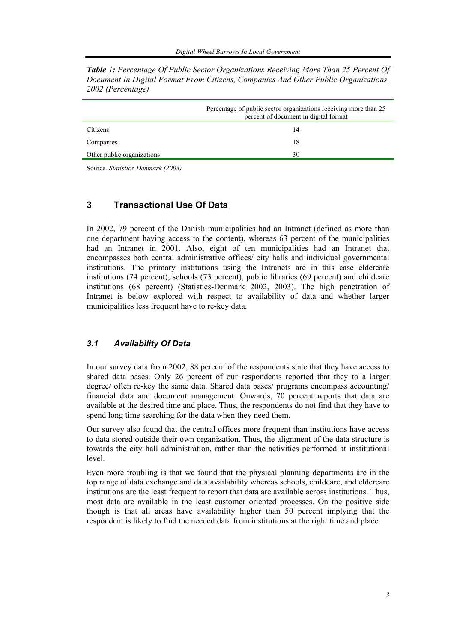|                            | Percentage of public sector organizations receiving more than 25<br>percent of document in digital format |  |  |  |
|----------------------------|-----------------------------------------------------------------------------------------------------------|--|--|--|
| Citizens                   | 14                                                                                                        |  |  |  |
| Companies                  | 18                                                                                                        |  |  |  |
| Other public organizations | 30                                                                                                        |  |  |  |

*Table 1: Percentage Of Public Sector Organizations Receiving More Than 25 Percent Of Document In Digital Format From Citizens, Companies And Other Public Organizations, 2002 (Percentage)* 

Source*. Statistics-Denmark (2003)* 

# **3 Transactional Use Of Data**

In 2002, 79 percent of the Danish municipalities had an Intranet (defined as more than one department having access to the content), whereas 63 percent of the municipalities had an Intranet in 2001. Also, eight of ten municipalities had an Intranet that encompasses both central administrative offices/ city halls and individual governmental institutions. The primary institutions using the Intranets are in this case eldercare institutions (74 percent), schools (73 percent), public libraries (69 percent) and childcare institutions (68 percent) (Statistics-Denmark 2002, 2003). The high penetration of Intranet is below explored with respect to availability of data and whether larger municipalities less frequent have to re-key data.

#### *3.1 Availability Of Data*

In our survey data from 2002, 88 percent of the respondents state that they have access to shared data bases. Only 26 percent of our respondents reported that they to a larger degree/ often re-key the same data. Shared data bases/ programs encompass accounting/ financial data and document management. Onwards, 70 percent reports that data are available at the desired time and place. Thus, the respondents do not find that they have to spend long time searching for the data when they need them.

Our survey also found that the central offices more frequent than institutions have access to data stored outside their own organization. Thus, the alignment of the data structure is towards the city hall administration, rather than the activities performed at institutional level.

Even more troubling is that we found that the physical planning departments are in the top range of data exchange and data availability whereas schools, childcare, and eldercare institutions are the least frequent to report that data are available across institutions. Thus, most data are available in the least customer oriented processes. On the positive side though is that all areas have availability higher than 50 percent implying that the respondent is likely to find the needed data from institutions at the right time and place.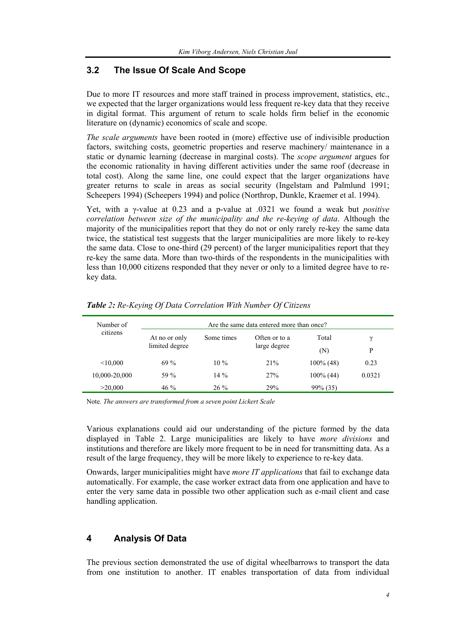# **3.2 The Issue Of Scale And Scope**

Due to more IT resources and more staff trained in process improvement, statistics, etc., we expected that the larger organizations would less frequent re-key data that they receive in digital format. This argument of return to scale holds firm belief in the economic literature on (dynamic) economics of scale and scope.

*The scale arguments* have been rooted in (more) effective use of indivisible production factors, switching costs, geometric properties and reserve machinery/ maintenance in a static or dynamic learning (decrease in marginal costs). The *scope argument* argues for the economic rationality in having different activities under the same roof (decrease in total cost). Along the same line, one could expect that the larger organizations have greater returns to scale in areas as social security (Ingelstam and Palmlund 1991; Scheepers 1994) (Scheepers 1994) and police (Northrop, Dunkle, Kraemer et al. 1994).

Yet, with a γ-value at 0.23 and a p-value at .0321 we found a weak but *positive correlation between size of the municipality and the re-keying of data*. Although the majority of the municipalities report that they do not or only rarely re-key the same data twice, the statistical test suggests that the larger municipalities are more likely to re-key the same data. Close to one-third (29 percent) of the larger municipalities report that they re-key the same data. More than two-thirds of the respondents in the municipalities with less than 10,000 citizens responded that they never or only to a limited degree have to rekey data.

| Number of<br>citizens | Are the same data entered more than once? |            |                               |              |        |
|-----------------------|-------------------------------------------|------------|-------------------------------|--------------|--------|
|                       | At no or only<br>limited degree           | Some times | Often or to a<br>large degree | Total        | γ      |
|                       |                                           |            |                               | (N)          | P      |
| < 10,000              | 69%                                       | $10\%$     | 21%                           | $100\%$ (48) | 0.23   |
| 10,000-20,000         | 59 %                                      | $14\%$     | 27%                           | $100\%$ (44) | 0.0321 |
| >20,000               | 46 %                                      | $26\%$     | 29%                           | $99\% (35)$  |        |

*Table 2: Re-Keying Of Data Correlation With Number Of Citizens* 

Note*. The answers are transformed from a seven point Lickert Scale* 

Various explanations could aid our understanding of the picture formed by the data displayed in Table 2. Large municipalities are likely to have *more divisions* and institutions and therefore are likely more frequent to be in need for transmitting data. As a result of the large frequency, they will be more likely to experience to re-key data.

Onwards, larger municipalities might have *more IT applications* that fail to exchange data automatically. For example, the case worker extract data from one application and have to enter the very same data in possible two other application such as e-mail client and case handling application.

# **4 Analysis Of Data**

The previous section demonstrated the use of digital wheelbarrows to transport the data from one institution to another. IT enables transportation of data from individual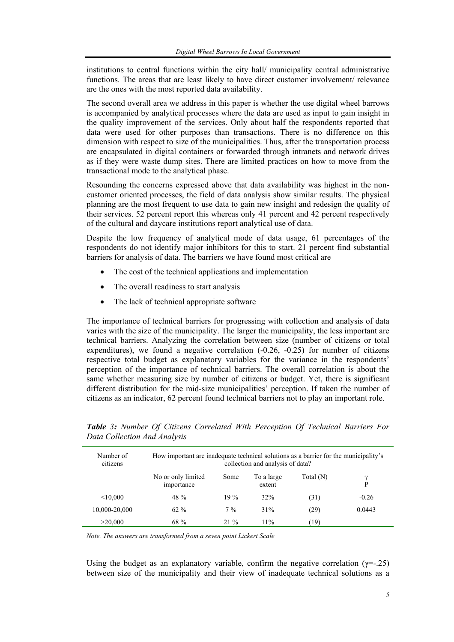institutions to central functions within the city hall/ municipality central administrative functions. The areas that are least likely to have direct customer involvement/ relevance are the ones with the most reported data availability.

The second overall area we address in this paper is whether the use digital wheel barrows is accompanied by analytical processes where the data are used as input to gain insight in the quality improvement of the services. Only about half the respondents reported that data were used for other purposes than transactions. There is no difference on this dimension with respect to size of the municipalities. Thus, after the transportation process are encapsulated in digital containers or forwarded through intranets and network drives as if they were waste dump sites. There are limited practices on how to move from the transactional mode to the analytical phase.

Resounding the concerns expressed above that data availability was highest in the noncustomer oriented processes, the field of data analysis show similar results. The physical planning are the most frequent to use data to gain new insight and redesign the quality of their services. 52 percent report this whereas only 41 percent and 42 percent respectively of the cultural and daycare institutions report analytical use of data.

Despite the low frequency of analytical mode of data usage, 61 percentages of the respondents do not identify major inhibitors for this to start. 21 percent find substantial barriers for analysis of data. The barriers we have found most critical are

- The cost of the technical applications and implementation
- The overall readiness to start analysis
- The lack of technical appropriate software

The importance of technical barriers for progressing with collection and analysis of data varies with the size of the municipality. The larger the municipality, the less important are technical barriers. Analyzing the correlation between size (number of citizens or total expenditures), we found a negative correlation (-0.26, -0.25) for number of citizens respective total budget as explanatory variables for the variance in the respondents' perception of the importance of technical barriers. The overall correlation is about the same whether measuring size by number of citizens or budget. Yet, there is significant different distribution for the mid-size municipalities' perception. If taken the number of citizens as an indicator, 62 percent found technical barriers not to play an important role.

| Number of<br>citizens | How important are inadequate technical solutions as a barrier for the municipality's<br>collection and analysis of data? |        |                      |           |         |  |  |
|-----------------------|--------------------------------------------------------------------------------------------------------------------------|--------|----------------------|-----------|---------|--|--|
|                       | No or only limited<br>importance                                                                                         | Some   | To a large<br>extent | Total (N) | ν<br>P  |  |  |
| < 10.000              | 48 %                                                                                                                     | 19%    | 32%                  | (31)      | $-0.26$ |  |  |
| 10,000-20,000         | $62\%$                                                                                                                   | $7\%$  | 31%                  | (29)      | 0.0443  |  |  |
| >20,000               | 68 %                                                                                                                     | $21\%$ | 11%                  | (19)      |         |  |  |

*Table 3: Number Of Citizens Correlated With Perception Of Technical Barriers For Data Collection And Analysis* 

*Note. The answers are transformed from a seven point Lickert Scale* 

Using the budget as an explanatory variable, confirm the negative correlation ( $y=-25$ ) between size of the municipality and their view of inadequate technical solutions as a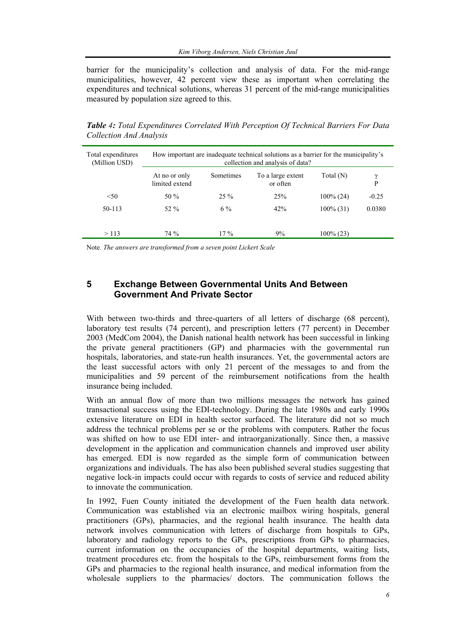barrier for the municipality's collection and analysis of data. For the mid-range municipalities, however, 42 percent view these as important when correlating the expenditures and technical solutions, whereas 31 percent of the mid-range municipalities measured by population size agreed to this.

How important are inadequate technical solutions as a barrier for the municipality's collection and analysis of data? Total expenditures (Million USD) At no or only limited extend Sometimes To a large extent or often Total  $(N)$  $\gamma$ <br> $\mathbf{p}$  $\leq$ 50 % 25 % 25% 25% 100% (24) 50-113 52 % 6 % 42% 100% (31) -0.25 0.0380

 $> 113$  74 % 17 % 9% 100% (23)

*Table 4: Total Expenditures Correlated With Perception Of Technical Barriers For Data Collection And Analysis* 

Note*. The answers are transformed from a seven point Lickert Scale* 

# **5 Exchange Between Governmental Units And Between Government And Private Sector**

With between two-thirds and three-quarters of all letters of discharge (68 percent), laboratory test results (74 percent), and prescription letters (77 percent) in December 2003 (MedCom 2004), the Danish national health network has been successful in linking the private general practitioners (GP) and pharmacies with the governmental run hospitals, laboratories, and state-run health insurances. Yet, the governmental actors are the least successful actors with only 21 percent of the messages to and from the municipalities and 59 percent of the reimbursement notifications from the health insurance being included.

With an annual flow of more than two millions messages the network has gained transactional success using the EDI-technology. During the late 1980s and early 1990s extensive literature on EDI in health sector surfaced. The literature did not so much address the technical problems per se or the problems with computers. Rather the focus was shifted on how to use EDI inter- and intraorganizationally. Since then, a massive development in the application and communication channels and improved user ability has emerged. EDI is now regarded as the simple form of communication between organizations and individuals. The has also been published several studies suggesting that negative lock-in impacts could occur with regards to costs of service and reduced ability to innovate the communication.

In 1992, Fuen County initiated the development of the Fuen health data network. Communication was established via an electronic mailbox wiring hospitals, general practitioners (GPs), pharmacies, and the regional health insurance. The health data network involves communication with letters of discharge from hospitals to GPs, laboratory and radiology reports to the GPs, prescriptions from GPs to pharmacies, current information on the occupancies of the hospital departments, waiting lists, treatment procedures etc. from the hospitals to the GPs, reimbursement forms from the GPs and pharmacies to the regional health insurance, and medical information from the wholesale suppliers to the pharmacies/ doctors. The communication follows the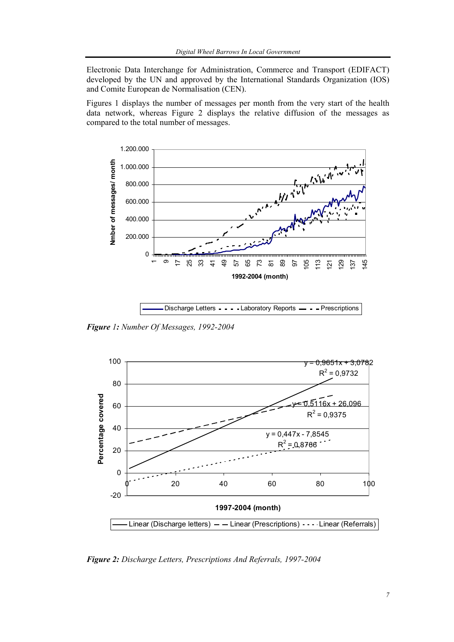Electronic Data Interchange for Administration, Commerce and Transport (EDIFACT) developed by the UN and approved by the International Standards Organization (IOS) and Comite European de Normalisation (CEN).

Figures 1 displays the number of messages per month from the very start of the health data network, whereas Figure 2 displays the relative diffusion of the messages as compared to the total number of messages.



Discharge Letters - - - - Laboratory Reports - - - Prescriptions

*Figure 1: Number Of Messages, 1992-2004* 



*Figure 2: Discharge Letters, Prescriptions And Referrals, 1997-2004*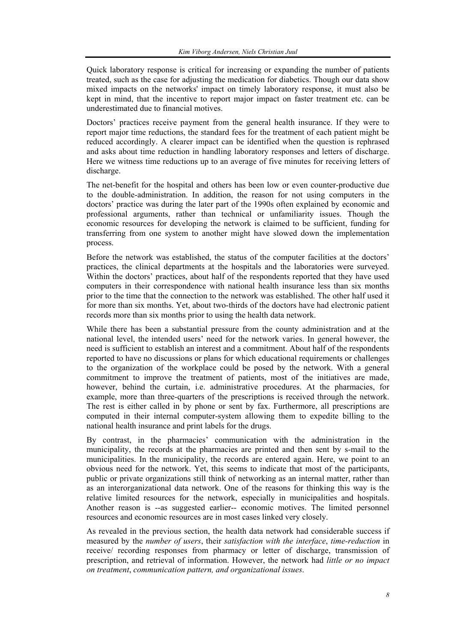Quick laboratory response is critical for increasing or expanding the number of patients treated, such as the case for adjusting the medication for diabetics. Though our data show mixed impacts on the networks' impact on timely laboratory response, it must also be kept in mind, that the incentive to report major impact on faster treatment etc. can be underestimated due to financial motives.

Doctors' practices receive payment from the general health insurance. If they were to report major time reductions, the standard fees for the treatment of each patient might be reduced accordingly. A clearer impact can be identified when the question is rephrased and asks about time reduction in handling laboratory responses and letters of discharge. Here we witness time reductions up to an average of five minutes for receiving letters of discharge.

The net-benefit for the hospital and others has been low or even counter-productive due to the double-administration. In addition, the reason for not using computers in the doctors' practice was during the later part of the 1990s often explained by economic and professional arguments, rather than technical or unfamiliarity issues. Though the economic resources for developing the network is claimed to be sufficient, funding for transferring from one system to another might have slowed down the implementation process.

Before the network was established, the status of the computer facilities at the doctors' practices, the clinical departments at the hospitals and the laboratories were surveyed. Within the doctors' practices, about half of the respondents reported that they have used computers in their correspondence with national health insurance less than six months prior to the time that the connection to the network was established. The other half used it for more than six months. Yet, about two-thirds of the doctors have had electronic patient records more than six months prior to using the health data network.

While there has been a substantial pressure from the county administration and at the national level, the intended users' need for the network varies. In general however, the need is sufficient to establish an interest and a commitment. About half of the respondents reported to have no discussions or plans for which educational requirements or challenges to the organization of the workplace could be posed by the network. With a general commitment to improve the treatment of patients, most of the initiatives are made, however, behind the curtain, i.e. administrative procedures. At the pharmacies, for example, more than three-quarters of the prescriptions is received through the network. The rest is either called in by phone or sent by fax. Furthermore, all prescriptions are computed in their internal computer-system allowing them to expedite billing to the national health insurance and print labels for the drugs.

By contrast, in the pharmacies' communication with the administration in the municipality, the records at the pharmacies are printed and then sent by s-mail to the municipalities. In the municipality, the records are entered again. Here, we point to an obvious need for the network. Yet, this seems to indicate that most of the participants, public or private organizations still think of networking as an internal matter, rather than as an interorganizational data network. One of the reasons for thinking this way is the relative limited resources for the network, especially in municipalities and hospitals. Another reason is --as suggested earlier-- economic motives. The limited personnel resources and economic resources are in most cases linked very closely.

As revealed in the previous section, the health data network had considerable success if measured by the *number of users*, their *satisfaction with the interface*, *time-reduction* in receive/ recording responses from pharmacy or letter of discharge, transmission of prescription, and retrieval of information. However, the network had *little or no impact on treatment*, *communication pattern, and organizational issues*.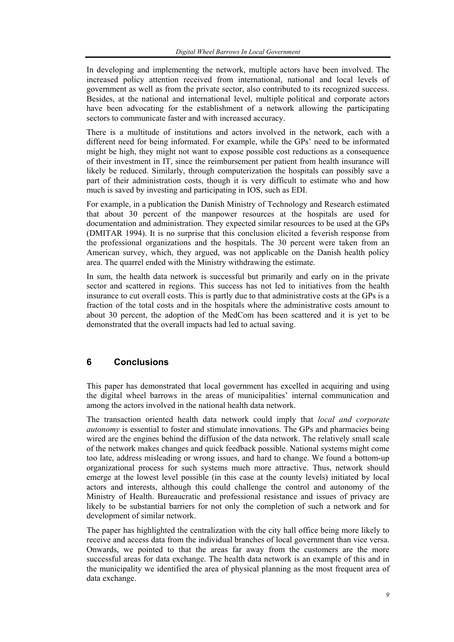In developing and implementing the network, multiple actors have been involved. The increased policy attention received from international, national and local levels of government as well as from the private sector, also contributed to its recognized success. Besides, at the national and international level, multiple political and corporate actors have been advocating for the establishment of a network allowing the participating sectors to communicate faster and with increased accuracy.

There is a multitude of institutions and actors involved in the network, each with a different need for being informated. For example, while the GPs' need to be informated might be high, they might not want to expose possible cost reductions as a consequence of their investment in IT, since the reimbursement per patient from health insurance will likely be reduced. Similarly, through computerization the hospitals can possibly save a part of their administration costs, though it is very difficult to estimate who and how much is saved by investing and participating in IOS, such as EDI.

For example, in a publication the Danish Ministry of Technology and Research estimated that about 30 percent of the manpower resources at the hospitals are used for documentation and administration. They expected similar resources to be used at the GPs (DMITAR 1994). It is no surprise that this conclusion elicited a feverish response from the professional organizations and the hospitals. The 30 percent were taken from an American survey, which, they argued, was not applicable on the Danish health policy area. The quarrel ended with the Ministry withdrawing the estimate.

In sum, the health data network is successful but primarily and early on in the private sector and scattered in regions. This success has not led to initiatives from the health insurance to cut overall costs. This is partly due to that administrative costs at the GPs is a fraction of the total costs and in the hospitals where the administrative costs amount to about 30 percent, the adoption of the MedCom has been scattered and it is yet to be demonstrated that the overall impacts had led to actual saving.

## **6 Conclusions**

This paper has demonstrated that local government has excelled in acquiring and using the digital wheel barrows in the areas of municipalities' internal communication and among the actors involved in the national health data network.

The transaction oriented health data network could imply that *local and corporate autonomy* is essential to foster and stimulate innovations. The GPs and pharmacies being wired are the engines behind the diffusion of the data network. The relatively small scale of the network makes changes and quick feedback possible. National systems might come too late, address misleading or wrong issues, and hard to change. We found a bottom-up organizational process for such systems much more attractive. Thus, network should emerge at the lowest level possible (in this case at the county levels) initiated by local actors and interests, although this could challenge the control and autonomy of the Ministry of Health. Bureaucratic and professional resistance and issues of privacy are likely to be substantial barriers for not only the completion of such a network and for development of similar network.

The paper has highlighted the centralization with the city hall office being more likely to receive and access data from the individual branches of local government than vice versa. Onwards, we pointed to that the areas far away from the customers are the more successful areas for data exchange. The health data network is an example of this and in the municipality we identified the area of physical planning as the most frequent area of data exchange.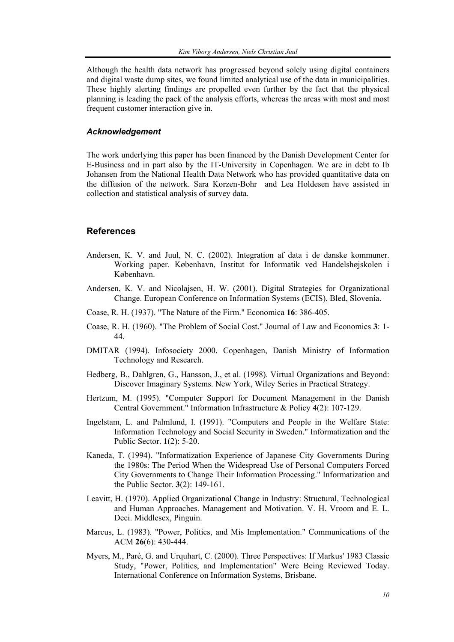Although the health data network has progressed beyond solely using digital containers and digital waste dump sites, we found limited analytical use of the data in municipalities. These highly alerting findings are propelled even further by the fact that the physical planning is leading the pack of the analysis efforts, whereas the areas with most and most frequent customer interaction give in.

#### *Acknowledgement*

The work underlying this paper has been financed by the Danish Development Center for E-Business and in part also by the IT-University in Copenhagen. We are in debt to Ib Johansen from the National Health Data Network who has provided quantitative data on the diffusion of the network. Sara Korzen-Bohr and Lea Holdesen have assisted in collection and statistical analysis of survey data.

#### **References**

- Andersen, K. V. and Juul, N. C. (2002). Integration af data i de danske kommuner. Working paper. København, Institut for Informatik ved Handelshøjskolen i København.
- Andersen, K. V. and Nicolajsen, H. W. (2001). Digital Strategies for Organizational Change. European Conference on Information Systems (ECIS), Bled, Slovenia.
- Coase, R. H. (1937). "The Nature of the Firm." Economica **16**: 386-405.
- Coase, R. H. (1960). "The Problem of Social Cost." Journal of Law and Economics **3**: 1- 44.
- DMITAR (1994). Infosociety 2000. Copenhagen, Danish Ministry of Information Technology and Research.
- Hedberg, B., Dahlgren, G., Hansson, J., et al. (1998). Virtual Organizations and Beyond: Discover Imaginary Systems. New York, Wiley Series in Practical Strategy.
- Hertzum, M. (1995). "Computer Support for Document Management in the Danish Central Government." Information Infrastructure & Policy **4**(2): 107-129.
- Ingelstam, L. and Palmlund, I. (1991). "Computers and People in the Welfare State: Information Technology and Social Security in Sweden." Informatization and the Public Sector. **1**(2): 5-20.
- Kaneda, T. (1994). "Informatization Experience of Japanese City Governments During the 1980s: The Period When the Widespread Use of Personal Computers Forced City Governments to Change Their Information Processing." Informatization and the Public Sector. **3**(2): 149-161.
- Leavitt, H. (1970). Applied Organizational Change in Industry: Structural, Technological and Human Approaches. Management and Motivation. V. H. Vroom and E. L. Deci. Middlesex, Pinguin.
- Marcus, L. (1983). "Power, Politics, and Mis Implementation." Communications of the ACM **26**(6): 430-444.
- Myers, M., Paré, G. and Urquhart, C. (2000). Three Perspectives: If Markus' 1983 Classic Study, "Power, Politics, and Implementation" Were Being Reviewed Today. International Conference on Information Systems, Brisbane.